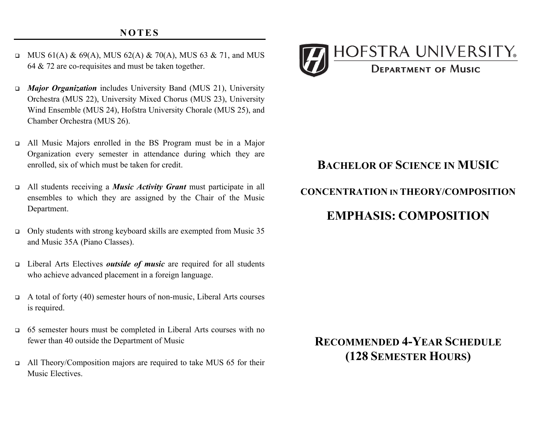- MUS 61(A) & 69(A), MUS 62(A) & 70(A), MUS 63 & 71, and MUS 64 & 72 are co-requisites and must be taken together.
- • *Major Organization* includes University Band (MUS 21), University Orchestra (MUS 22), University Mixed Chorus (MUS 23), University Wind Ensemble (MUS 24), Hofstra University Chorale (MUS 25), and Chamber Orchestra (MUS 26).
- • All Music Majors enrolled in the BS Program must be in a Major Organization every semester in attendance during which they are enrolled, six of which must be taken for credit.
- • All students receiving a *Music Activity Grant* must participate in all ensembles to which they are assigned by the Chair of the Music Department.
- • Only students with strong keyboard skills are exempted from Music 35 and Music 35A (Piano Classes).
- • Liberal Arts Electives *outside of music* are required for all students who achieve advanced placement in a foreign language.
- $\Box$  A total of forty (40) semester hours of non-music, Liberal Arts courses is required.
- • 65 semester hours must be completed in Liberal Arts courses with no fewer than 40 outside the Department of Music
- $\Box$  All Theory/Composition majors are required to take MUS 65 for their Music Electives.



# **BACHELOR OF SCIENCE IN MUSIC**

#### **CONCENTRATION IN THEORY/COMPOSITION**

## **EMPHASIS: COMPOSITION**

### **RECOMMENDED 4-YEAR SCHEDULE (128 SEMESTER HOURS)**